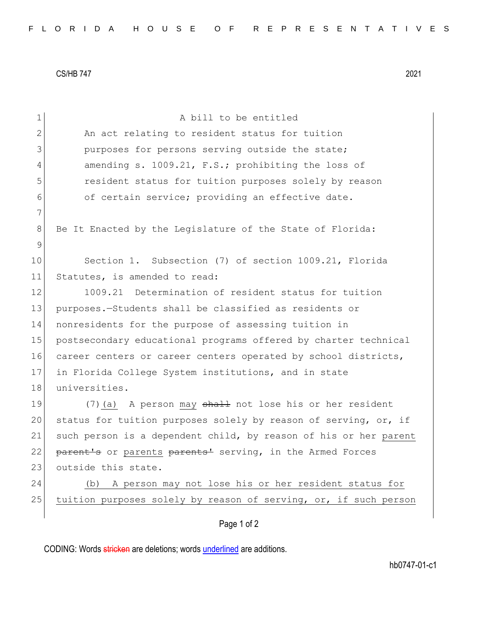CS/HB 747 2021

| $\mathbf 1$ | A bill to be entitled                                            |
|-------------|------------------------------------------------------------------|
| 2           | An act relating to resident status for tuition                   |
| 3           | purposes for persons serving outside the state;                  |
| 4           | amending s. 1009.21, F.S.; prohibiting the loss of               |
| 5           | resident status for tuition purposes solely by reason            |
| 6           | of certain service; providing an effective date.                 |
| 7           |                                                                  |
| 8           | Be It Enacted by the Legislature of the State of Florida:        |
| $\mathsf 9$ |                                                                  |
| 10          | Section 1. Subsection (7) of section 1009.21, Florida            |
| 11          | Statutes, is amended to read:                                    |
| 12          | 1009.21 Determination of resident status for tuition             |
| 13          | purposes.-Students shall be classified as residents or           |
| 14          | nonresidents for the purpose of assessing tuition in             |
| 15          | postsecondary educational programs offered by charter technical  |
| 16          | career centers or career centers operated by school districts,   |
| 17          | in Florida College System institutions, and in state             |
| 18          | universities.                                                    |
| 19          | (7) (a) A person may shall not lose his or her resident          |
| 20          | status for tuition purposes solely by reason of serving, or, if  |
| 21          | such person is a dependent child, by reason of his or her parent |
| 22          | parent's or parents parents' serving, in the Armed Forces        |
| 23          | outside this state.                                              |
| 24          | A person may not lose his or her resident status for<br>(b)      |
| 25          | tuition purposes solely by reason of serving, or, if such person |
|             | Page 1 of 2                                                      |

CODING: Words stricken are deletions; words underlined are additions.